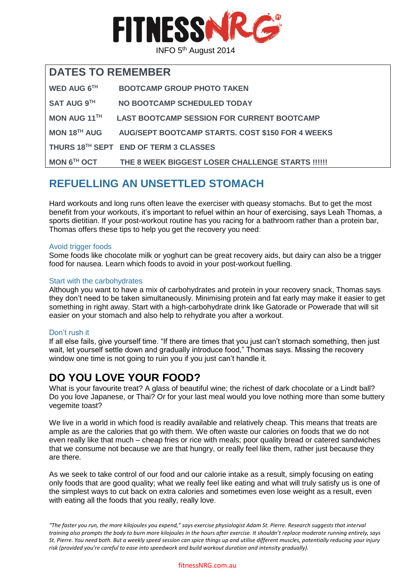

### **DATES TO REMEMBER**

| WED AUG 6TH         | <b>BOOTCAMP GROUP PHOTO TAKEN</b>                       |
|---------------------|---------------------------------------------------------|
| <b>SAT AUG 9TH</b>  | NO BOOTCAMP SCHEDULED TODAY                             |
| <b>MON AUG 11TH</b> | <b>LAST BOOTCAMP SESSION FOR CURRENT BOOTCAMP</b>       |
| MON $18^{TH}$ AUG   | <b>AUG/SEPT BOOTCAMP STARTS. COST \$150 FOR 4 WEEKS</b> |
|                     | THURS 18 <sup>TH</sup> SEPT END OF TERM 3 CLASSES       |
| MON 6TH OCT         | THE 8 WEEK BIGGEST LOSER CHALLENGE STARTS !!!!!!        |

## **REFUELLING AN UNSETTLED STOMACH**

Hard workouts and long runs often leave the exerciser with queasy stomachs. But to get the most benefit from your workouts, it's important to refuel within an hour of exercising, says Leah Thomas, a sports dietitian. If your post-workout routine has you racing for a bathroom rather than a protein bar, Thomas offers these tips to help you get the recovery you need:

#### Avoid trigger foods

Some foods like chocolate milk or yoghurt can be great recovery aids, but dairy can also be a trigger food for nausea. Learn which foods to avoid in your post-workout fuelling.

#### Start with the carbohydrates

Although you want to have a mix of carbohydrates and protein in your recovery snack, Thomas says they don't need to be taken simultaneously. Minimising protein and fat early may make it easier to get something in right away. Start with a high-carbohydrate drink like Gatorade or Powerade that will sit easier on your stomach and also help to rehydrate you after a workout.

### Don't rush it

If all else fails, give yourself time. "If there are times that you just can't stomach something, then just wait, let yourself settle down and gradually introduce food," Thomas says. Missing the recovery window one time is not going to ruin you if you just can't handle it.

### **DO YOU LOVE YOUR FOOD?**

What is your favourite treat? A glass of beautiful wine; the richest of dark chocolate or a Lindt ball? Do you love Japanese, or Thai? Or for your last meal would you love nothing more than some buttery vegemite toast?

We live in a world in which food is readily available and relatively cheap. This means that treats are ample as are the calories that go with them. We often waste our calories on foods that we do not even really like that much – cheap fries or rice with meals; poor quality bread or catered sandwiches that we consume not because we are that hungry, or really feel like them, rather just because they are there.

As we seek to take control of our food and our calorie intake as a result, simply focusing on eating only foods that are good quality; what we really feel like eating and what will truly satisfy us is one of the simplest ways to cut back on extra calories and sometimes even lose weight as a result, even with eating all the foods that you really, really love.

*"The faster you run, the more kilojoules you expend," says exercise physiologist Adam St. Pierre. Research suggests that interval training also prompts the body to burn more kilojoules in the hours after exercise. It shouldn't replace moderate running entirely, says St. Pierre. You need both. But a weekly speed session can spice things up and utilise different muscles, potentially reducing your injury risk (provided you're careful to ease into speedwork and build workout duration and intensity gradually).*